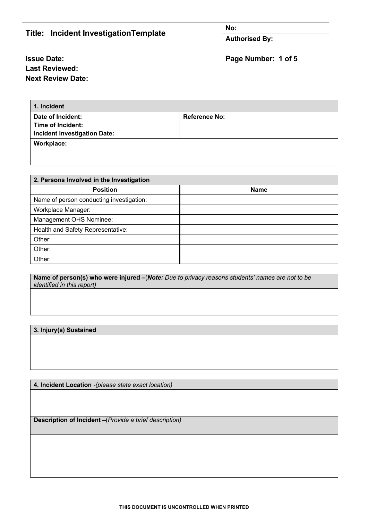| Title: Incident Investigation Template | No:<br><b>Authorised By:</b> |
|----------------------------------------|------------------------------|
| <b>Issue Date:</b>                     | Page Number: 1 of 5          |
| <b>Last Reviewed:</b>                  |                              |
| <b>Next Review Date:</b>               |                              |

| 1. Incident                         |                      |
|-------------------------------------|----------------------|
| Date of Incident:                   | <b>Reference No:</b> |
| Time of Incident:                   |                      |
| <b>Incident Investigation Date:</b> |                      |
| Workplace:                          |                      |
|                                     |                      |

| 2. Persons Involved in the Investigation |      |  |
|------------------------------------------|------|--|
| <b>Position</b>                          | Name |  |
| Name of person conducting investigation: |      |  |
| Workplace Manager:                       |      |  |
| Management OHS Nominee:                  |      |  |
| Health and Safety Representative:        |      |  |
| Other:                                   |      |  |
| Other:                                   |      |  |
| Other:                                   |      |  |

**Name of person(s) who were injured –**(*Note: Due to privacy reasons students' names are not to be identified in this report)*

## **3. Injury(s) Sustained**

**4. Incident Location** *-(please state exact location)*

**Description of Incident –**(*Provide a brief description)*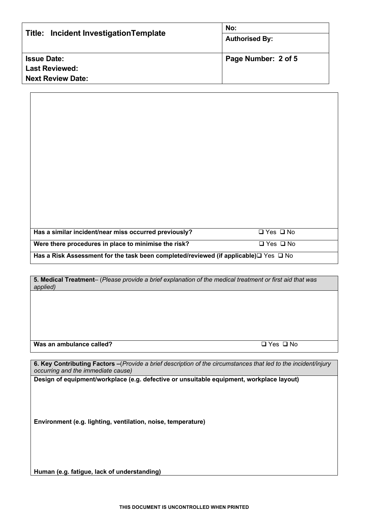| Title: Incident InvestigationTemplate | No:<br><b>Authorised By:</b> |
|---------------------------------------|------------------------------|
| <b>Issue Date:</b>                    | Page Number: 2 of 5          |
| <b>Last Reviewed:</b>                 |                              |
| <b>Next Review Date:</b>              |                              |

| Has a similar incident/near miss occurred previously?                                                 | $\Box$ Yes $\Box$ No |
|-------------------------------------------------------------------------------------------------------|----------------------|
| Were there procedures in place to minimise the risk?                                                  | □ Yes □ No           |
| Has a Risk Assessment for the task been completed/reviewed (if applicable) $\square$ Yes $\square$ No |                      |

**5. Medical Treatment**– (*Please provide a brief explanation of the medical treatment or first aid that was applied)*

**Was an ambulance called?**  $\Box$  Yes  $\Box$  No

**6. Key Contributing Factors –**(*Provide a brief description of the circumstances that led to the incident/injury occurring and the immediate cause)*

**Design of equipment/workplace (e.g. defective or unsuitable equipment, workplace layout)**

**Environment (e.g. lighting, ventilation, noise, temperature)**

**Human (e.g. fatigue, lack of understanding)**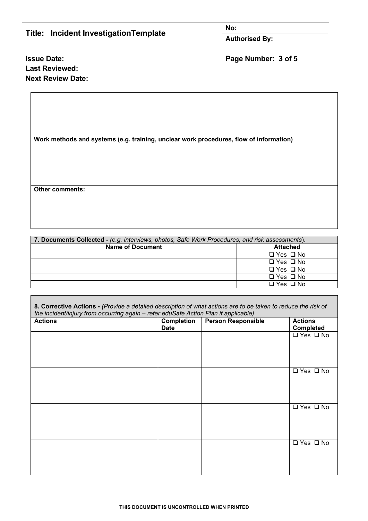| Title: Incident InvestigationTemplate | No:<br><b>Authorised By:</b> |
|---------------------------------------|------------------------------|
| <b>Issue Date:</b>                    | Page Number: 3 of 5          |
| <b>Last Reviewed:</b>                 |                              |
| <b>Next Review Date:</b>              |                              |

**Work methods and systems (e.g. training, unclear work procedures, flow of information)**

**Other comments:**

| 7. Documents Collected - (e.g. interviews, photos, Safe Work Procedures, and risk assessments). |                      |
|-------------------------------------------------------------------------------------------------|----------------------|
| <b>Name of Document</b>                                                                         | <b>Attached</b>      |
|                                                                                                 | $\Box$ Yes $\Box$ No |
|                                                                                                 | $\Box$ Yes $\Box$ No |
|                                                                                                 | $\Box$ Yes $\Box$ No |
|                                                                                                 | $\Box$ Yes $\Box$ No |
|                                                                                                 | $\Box$ Yes $\Box$ No |

**8. Corrective Actions -** *(Provide a detailed description of what actions are to be taken to reduce the risk of the incident/injury from occurring again – refer eduSafe Action Plan if applicable)*

| <b>Actions</b> | <b>Completion</b><br><b>Date</b> | $\frac{1}{2}$<br>Person Responsible | <b>Actions</b><br><b>Completed</b> |
|----------------|----------------------------------|-------------------------------------|------------------------------------|
|                |                                  |                                     | $\sqrt{ }$ Yes $\sqrt{ }$ No       |
|                |                                  |                                     |                                    |
|                |                                  |                                     |                                    |
|                |                                  |                                     | $\Box$ Yes $\Box$ No               |
|                |                                  |                                     |                                    |
|                |                                  |                                     |                                    |
|                |                                  |                                     | $\Box$ Yes $\Box$ No               |
|                |                                  |                                     |                                    |
|                |                                  |                                     |                                    |
|                |                                  |                                     | $\Box$ Yes $\Box$ No               |
|                |                                  |                                     |                                    |
|                |                                  |                                     |                                    |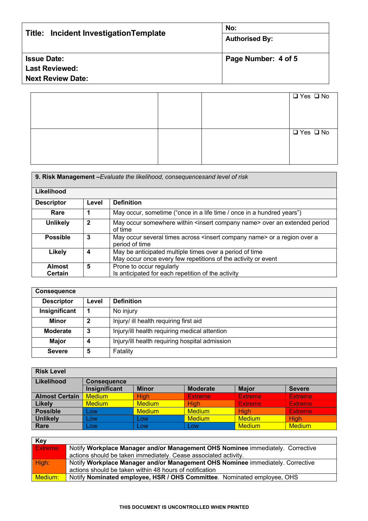| Title: Incident InvestigationTemplate | No:<br><b>Authorised By:</b> |
|---------------------------------------|------------------------------|
| <b>Issue Date:</b>                    | Page Number: 4 of 5          |
| <b>Last Reviewed:</b>                 |                              |
| <b>Next Review Date:</b>              |                              |
|                                       |                              |

| $\overline{Q}$ Yes $Q$ No |
|---------------------------|
|                           |
|                           |
|                           |
| $\Box$ Yes $\Box$ No      |
|                           |
|                           |
|                           |

| 9. Risk Management - Evaluate the likelihood, consequencesand level of risk |              |                                                                                                                          |
|-----------------------------------------------------------------------------|--------------|--------------------------------------------------------------------------------------------------------------------------|
| Likelihood                                                                  |              |                                                                                                                          |
| <b>Descriptor</b>                                                           | Level        | <b>Definition</b>                                                                                                        |
| Rare                                                                        |              | May occur, sometime ("once in a life time / once in a hundred years")                                                    |
| <b>Unlikely</b>                                                             | $\mathbf{2}$ | May occur somewhere within <insert company="" name=""> over an extended period<br/>of time</insert>                      |
| <b>Possible</b>                                                             | 3            | May occur several times across <insert company="" name=""> or a region over a<br/>period of time</insert>                |
| <b>Likely</b>                                                               | 4            | May be anticipated multiple times over a period of time<br>May occur once every few repetitions of the activity or event |
| <b>Almost</b><br>Certain                                                    | 5            | Prone to occur regularly<br>Is anticipated for each repetition of the activity                                           |

| <b>Consequence</b> |             |                                                |
|--------------------|-------------|------------------------------------------------|
| <b>Descriptor</b>  | Level       | <b>Definition</b>                              |
| Insignificant      |             | No injury                                      |
| Minor              | $\mathbf 2$ | Injury/ ill health requiring first aid         |
| <b>Moderate</b>    | 3           | Injury/ill health requiring medical attention  |
| <b>Major</b>       | Δ           | Injury/ill health requiring hospital admission |
| <b>Severe</b>      | 5           | Fatality                                       |

| <b>Risk Level</b>     |                    |               |                 |                |                |  |
|-----------------------|--------------------|---------------|-----------------|----------------|----------------|--|
| Likelihood            | <b>Consequence</b> |               |                 |                |                |  |
|                       | Insignificant      | <b>Minor</b>  | <b>Moderate</b> | <b>Major</b>   | <b>Severe</b>  |  |
| <b>Almost Certain</b> | <b>Medium</b>      | <b>High</b>   | <b>Extreme</b>  | <b>Extreme</b> | <b>Extreme</b> |  |
| Likely                | <b>Medium</b>      | <b>Medium</b> | <b>High</b>     | <b>Extreme</b> | <b>Extreme</b> |  |
| <b>Possible</b>       | Low                | <b>Medium</b> | <b>Medium</b>   | Hiah           | <b>Extreme</b> |  |
| <b>Unlikely</b>       | Low                | Low           | <b>Medium</b>   | <b>Medium</b>  | High           |  |
| Rare                  | Low                | Low           | Low             | <b>Medium</b>  | <b>Medium</b>  |  |

| <b>Key</b> |                                                                                |
|------------|--------------------------------------------------------------------------------|
| Extreme:   | Notify Workplace Manager and/or Management OHS Nominee immediately. Corrective |
|            | actions should be taken immediately. Cease associated activity.                |
| High:      | Notify Workplace Manager and/or Management OHS Nominee immediately. Corrective |
|            | actions should be taken within 48 hours of notification                        |
| Medium:    | Notify Nominated employee, HSR / OHS Committee. Nominated employee, OHS        |